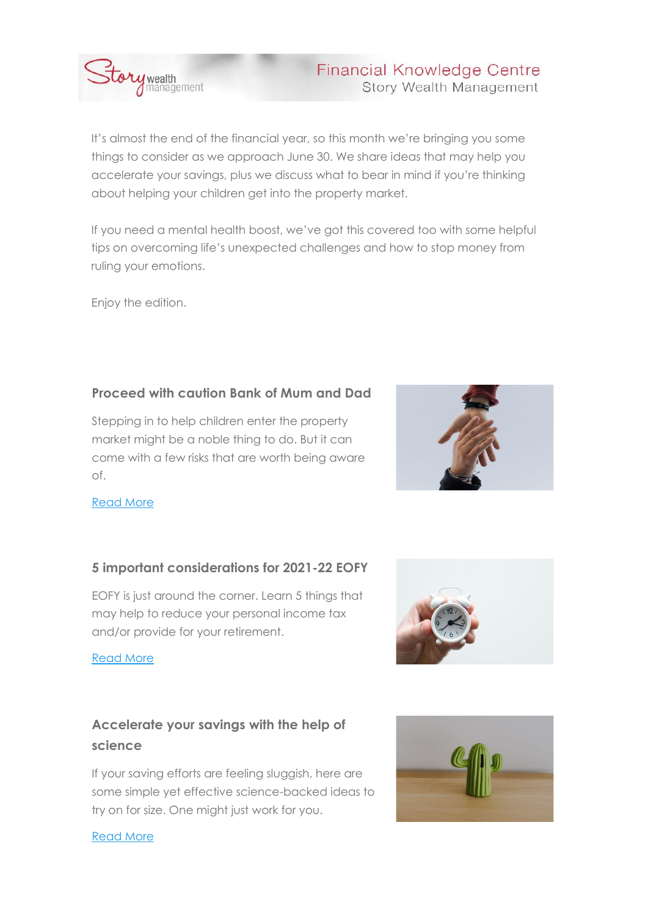

## **Financial Knowledge Centre Story Wealth Management**

It's almost the end of the financial year, so this month we're bringing you some things to consider as we approach June 30. We share ideas that may help you accelerate your savings, plus we discuss what to bear in mind if you're thinking about helping your children get into the property market.

If you need a mental health boost, we've got this covered too with some helpful tips on overcoming life's unexpected challenges and how to stop money from ruling your emotions.

Enjoy the edition.

## **Proceed with caution Bank of Mum and Dad**

Stepping in to help children enter the property market might be a noble thing to do. But it can come with a few risks that are worth being aware of.



### [Read More](https://urldefense.proofpoint.com/v2/url?u=http-3A__email.mg.financialknowledgecentre.com.au_c_eJyFzkFuwyAQheHT4CWCGSBkwaJSlGtUYwYHFIwtTGX19nVOUOlfPn16HBD0glMJoACU1QCIqL3kqGy09v7JMLAwan3JpTRqsVB9t-2D2siV8ppjZ6knFbJf1MOdD9ZhZ0wHTzdvYGMeKsyTlPPBunpxryGPsh8EvA8-2DoYW-5F89E9WR-5F-2DOv9TtSHyXWdMg97wKfhQU-2D0Go39cDUSqo1fZ-2DXkLpX1-2Dm8jZVK-5FQh-5FiDZMdw&d=DwMGaQ&c=euGZstcaTDllvimEN8b7jXrwqOf-v5A_CdpgnVfiiMM&r=0qP-Kq0eLj3sSwJzmmDIs6NLC1x72pgm5ecO37cRi7k87xso1a28ci-qdBUOvbPG&m=FPyXdV2yOITN-pX2Wq-kG8HM9Wx365iodXv7--AREho&s=JtZ0udRu9GZ4_-Omal4bjhmriYFiLPDhq-04QvbUci4&e=)

## **5 important considerations for 2021-22 EOFY**

EOFY is just around the corner. Learn 5 things that may help to reduce your personal income tax and/or provide for your retirement.

### [Read More](https://urldefense.proofpoint.com/v2/url?u=http-3A__email.mg.financialknowledgecentre.com.au_c_eJyFzkGKxCAQheHTmKVolTJm4WJg6GsMpqrSShsTjEOY20-5F6BAP-5F8vHxOCLYFacSwQAYbwEQ0QbNZDx5P79zDKyc2Z56LS01Kqm-2D2n5V4aeQtNFF077p9DPliAQ0L-5FO8QrAQkmPPixjHDpj84sNUYx7jOBV-2DKnjcnWPvv5ekOvJ-5F-5FL1-2DUeqjUJVTH-5FlQ-2DCis8Au9-5FZh65NSK1Crf1y1ID-2DY-2DnfexpVLfwh-2D8zEza&d=DwMGaQ&c=euGZstcaTDllvimEN8b7jXrwqOf-v5A_CdpgnVfiiMM&r=0qP-Kq0eLj3sSwJzmmDIs6NLC1x72pgm5ecO37cRi7k87xso1a28ci-qdBUOvbPG&m=FPyXdV2yOITN-pX2Wq-kG8HM9Wx365iodXv7--AREho&s=DrgRsHOxwGiSfreDK0F7a8bZS2pd9IdVg5islFZlZ6E&e=)

# **Accelerate your savings with the help of science**

If your saving efforts are feeling sluggish, here are some simple yet effective science-backed ideas to try on for size. One might just work for you.



#### [Read More](https://urldefense.proofpoint.com/v2/url?u=http-3A__email.mg.financialknowledgecentre.com.au_c_eJyFzkGKxCAQheHTmKVolY7JwsXA0NcYjFW20sYE4xDm9pM-2DwcC-5FfHw88gg64VQ8KABlNQAi6llSVDZau7wzBCSM2p4ylRZaLKG-2D2n5VpidHbqOzjPsmw8-2DUPcwuLRaN03H9cOu6OFpTImOdNgZYT9XnMY5T4KeAx9059v57cagj-5F8ff61cMfZRY-2DZRHPgQ-2DCgn8QqvnqXsKrXCt-5FH3dAvdZ3afzPrZQ6lv4A463TIc&d=DwMGaQ&c=euGZstcaTDllvimEN8b7jXrwqOf-v5A_CdpgnVfiiMM&r=0qP-Kq0eLj3sSwJzmmDIs6NLC1x72pgm5ecO37cRi7k87xso1a28ci-qdBUOvbPG&m=FPyXdV2yOITN-pX2Wq-kG8HM9Wx365iodXv7--AREho&s=agVqy1855EQHYBJzNnLhiK_3b0VrM1EeBLB6BAUygJk&e=)